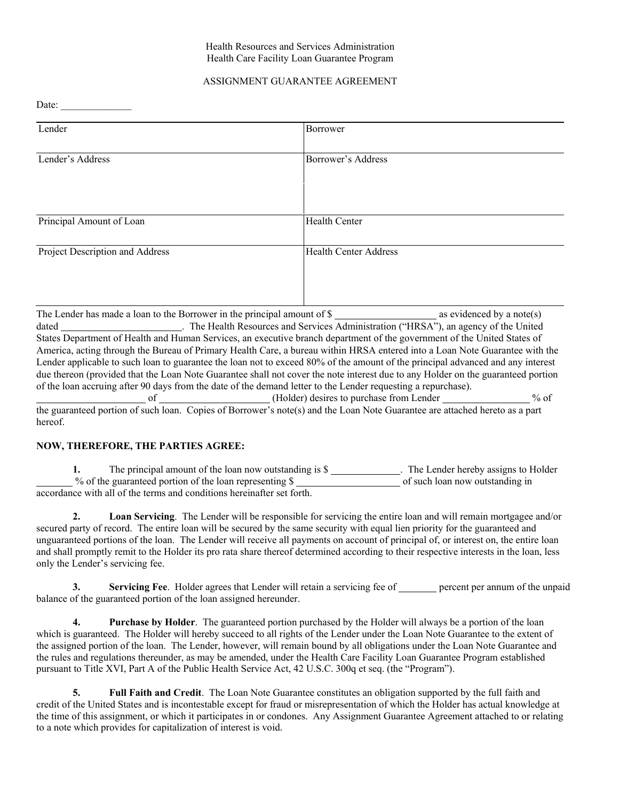## Health Resources and Services Administration Health Care Facility Loan Guarantee Program

## ASSIGNMENT GUARANTEE AGREEMENT

Date:  $\overline{\phantom{a}}$ 

| Lender                                                                        | Borrower                     |
|-------------------------------------------------------------------------------|------------------------------|
| Lender's Address                                                              | Borrower's Address           |
| Principal Amount of Loan                                                      | <b>Health Center</b>         |
| Project Description and Address                                               | <b>Health Center Address</b> |
| The I ender has made a loan to the Porrower in the principal emount of $\ell$ | ge avidanced by a note(s)    |

The Lender has made a loan to the Borrower in the principal amount of \$ as evidenced by a note(s) dated \_\_\_\_\_\_\_\_\_\_\_\_\_\_\_\_\_\_\_\_\_\_\_\_. The Health Resources and Services Administration ("HRSA"), an agency of the United States Department of Health and Human Services, an executive branch department of the government of the United States of America, acting through the Bureau of Primary Health Care, a bureau within HRSA entered into a Loan Note Guarantee with the Lender applicable to such loan to guarantee the loan not to exceed 80% of the amount of the principal advanced and any interest due thereon (provided that the Loan Note Guarantee shall not cover the note interest due to any Holder on the guaranteed portion of the loan accruing after 90 days from the date of the demand letter to the Lender requesting a repurchase). of (Holder) desires to purchase from Lender % of

the guaranteed portion of such loan. Copies of Borrower's note(s) and the Loan Note Guarantee are attached hereto as a part hereof.

## **NOW, THEREFORE, THE PARTIES AGREE:**

1. The principal amount of the loan now outstanding is \$\_\_\_\_\_\_\_\_\_\_\_\_\_. The Lender hereby assigns to Holder % of the guaranteed portion of the loan representing  $\frac{1}{2}$  of such loan now outstanding in accordance with all of the terms and conditions hereinafter set forth.

**2. Loan Servicing**. The Lender will be responsible for servicing the entire loan and will remain mortgagee and/or secured party of record. The entire loan will be secured by the same security with equal lien priority for the guaranteed and unguaranteed portions of the loan. The Lender will receive all payments on account of principal of, or interest on, the entire loan and shall promptly remit to the Holder its pro rata share thereof determined according to their respective interests in the loan, less only the Lender's servicing fee.

**3. Servicing Fee**. Holder agrees that Lender will retain a servicing fee of <u>percent per annum of the unpaid</u> balance of the guaranteed portion of the loan assigned hereunder.

**4. Purchase by Holder**. The guaranteed portion purchased by the Holder will always be a portion of the loan which is guaranteed. The Holder will hereby succeed to all rights of the Lender under the Loan Note Guarantee to the extent of the assigned portion of the loan. The Lender, however, will remain bound by all obligations under the Loan Note Guarantee and the rules and regulations thereunder, as may be amended, under the Health Care Facility Loan Guarantee Program established pursuant to Title XVI, Part A of the Public Health Service Act, 42 U.S.C. 300q et seq. (the "Program").

**5. Full Faith and Credit**. The Loan Note Guarantee constitutes an obligation supported by the full faith and credit of the United States and is incontestable except for fraud or misrepresentation of which the Holder has actual knowledge at the time of this assignment, or which it participates in or condones. Any Assignment Guarantee Agreement attached to or relating to a note which provides for capitalization of interest is void.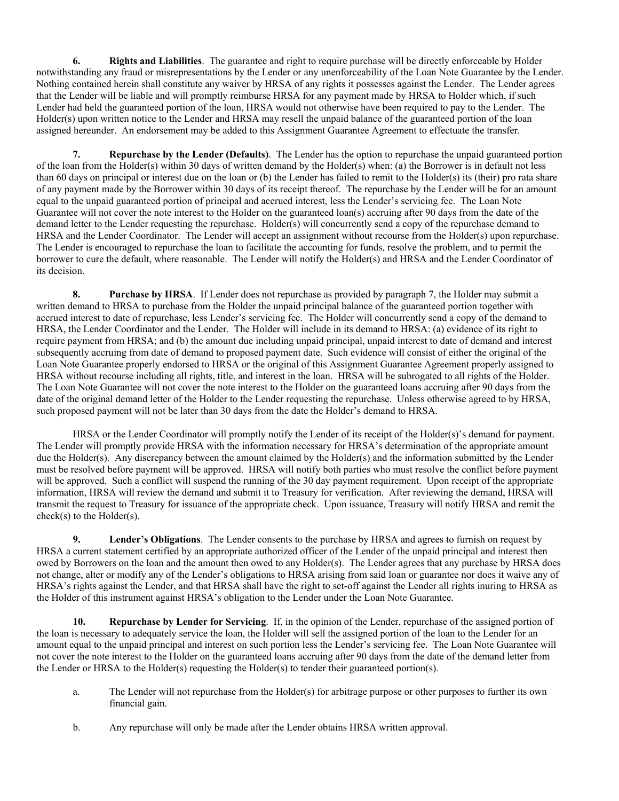**6. Rights and Liabilities**. The guarantee and right to require purchase will be directly enforceable by Holder notwithstanding any fraud or misrepresentations by the Lender or any unenforceability of the Loan Note Guarantee by the Lender. Nothing contained herein shall constitute any waiver by HRSA of any rights it possesses against the Lender. The Lender agrees that the Lender will be liable and will promptly reimburse HRSA for any payment made by HRSA to Holder which, if such Lender had held the guaranteed portion of the loan, HRSA would not otherwise have been required to pay to the Lender. The Holder(s) upon written notice to the Lender and HRSA may resell the unpaid balance of the guaranteed portion of the loan assigned hereunder. An endorsement may be added to this Assignment Guarantee Agreement to effectuate the transfer.

**7. Repurchase by the Lender (Defaults)**. The Lender has the option to repurchase the unpaid guaranteed portion of the loan from the Holder(s) within 30 days of written demand by the Holder(s) when: (a) the Borrower is in default not less than 60 days on principal or interest due on the loan or (b) the Lender has failed to remit to the Holder(s) its (their) pro rata share of any payment made by the Borrower within 30 days of its receipt thereof. The repurchase by the Lender will be for an amount equal to the unpaid guaranteed portion of principal and accrued interest, less the Lender's servicing fee. The Loan Note Guarantee will not cover the note interest to the Holder on the guaranteed loan(s) accruing after 90 days from the date of the demand letter to the Lender requesting the repurchase. Holder(s) will concurrently send a copy of the repurchase demand to HRSA and the Lender Coordinator. The Lender will accept an assignment without recourse from the Holder(s) upon repurchase. The Lender is encouraged to repurchase the loan to facilitate the accounting for funds, resolve the problem, and to permit the borrower to cure the default, where reasonable. The Lender will notify the Holder(s) and HRSA and the Lender Coordinator of its decision.

**8. Purchase by HRSA**. If Lender does not repurchase as provided by paragraph 7, the Holder may submit a written demand to HRSA to purchase from the Holder the unpaid principal balance of the guaranteed portion together with accrued interest to date of repurchase, less Lender's servicing fee. The Holder will concurrently send a copy of the demand to HRSA, the Lender Coordinator and the Lender. The Holder will include in its demand to HRSA: (a) evidence of its right to require payment from HRSA; and (b) the amount due including unpaid principal, unpaid interest to date of demand and interest subsequently accruing from date of demand to proposed payment date. Such evidence will consist of either the original of the Loan Note Guarantee properly endorsed to HRSA or the original of this Assignment Guarantee Agreement properly assigned to HRSA without recourse including all rights, title, and interest in the loan. HRSA will be subrogated to all rights of the Holder. The Loan Note Guarantee will not cover the note interest to the Holder on the guaranteed loans accruing after 90 days from the date of the original demand letter of the Holder to the Lender requesting the repurchase. Unless otherwise agreed to by HRSA, such proposed payment will not be later than 30 days from the date the Holder's demand to HRSA.

HRSA or the Lender Coordinator will promptly notify the Lender of its receipt of the Holder(s)'s demand for payment. The Lender will promptly provide HRSA with the information necessary for HRSA's determination of the appropriate amount due the Holder(s). Any discrepancy between the amount claimed by the Holder(s) and the information submitted by the Lender must be resolved before payment will be approved. HRSA will notify both parties who must resolve the conflict before payment will be approved. Such a conflict will suspend the running of the 30 day payment requirement. Upon receipt of the appropriate information, HRSA will review the demand and submit it to Treasury for verification. After reviewing the demand, HRSA will transmit the request to Treasury for issuance of the appropriate check. Upon issuance, Treasury will notify HRSA and remit the check(s) to the Holder(s).

**9. Lender's Obligations**. The Lender consents to the purchase by HRSA and agrees to furnish on request by HRSA a current statement certified by an appropriate authorized officer of the Lender of the unpaid principal and interest then owed by Borrowers on the loan and the amount then owed to any Holder(s). The Lender agrees that any purchase by HRSA does not change, alter or modify any of the Lender's obligations to HRSA arising from said loan or guarantee nor does it waive any of HRSA's rights against the Lender, and that HRSA shall have the right to set-off against the Lender all rights inuring to HRSA as the Holder of this instrument against HRSA's obligation to the Lender under the Loan Note Guarantee.

**10. Repurchase by Lender for Servicing**. If, in the opinion of the Lender, repurchase of the assigned portion of the loan is necessary to adequately service the loan, the Holder will sell the assigned portion of the loan to the Lender for an amount equal to the unpaid principal and interest on such portion less the Lender's servicing fee. The Loan Note Guarantee will not cover the note interest to the Holder on the guaranteed loans accruing after 90 days from the date of the demand letter from the Lender or HRSA to the Holder(s) requesting the Holder(s) to tender their guaranteed portion(s).

- a. The Lender will not repurchase from the Holder(s) for arbitrage purpose or other purposes to further its own financial gain.
- b. Any repurchase will only be made after the Lender obtains HRSA written approval.